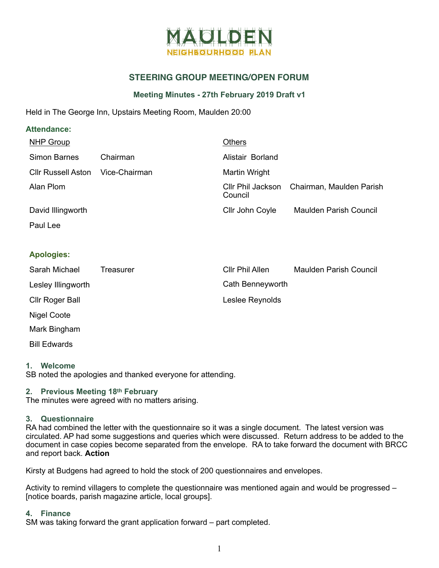

# **STEERING GROUP MEETING/OPEN FORUM**

# **Meeting Minutes - 27th February 2019 Draft v1**

Held in The George Inn, Upstairs Meeting Room, Maulden 20:00

# **Attendance:**

| <b>NHP Group</b>          |               | Others                       |                               |
|---------------------------|---------------|------------------------------|-------------------------------|
| Simon Barnes              | Chairman      | Alistair Borland             |                               |
| <b>Cllr Russell Aston</b> | Vice-Chairman | Martin Wright                |                               |
| Alan Plom                 |               | CIIr Phil Jackson<br>Council | Chairman, Maulden Parish      |
| David Illingworth         |               | Cllr John Coyle              | <b>Maulden Parish Council</b> |
| Paul Lee                  |               |                              |                               |

# **Apologies:**

| Sarah Michael       | Treasurer | Cllr Phil Allen  | <b>Maulden Parish Council</b> |
|---------------------|-----------|------------------|-------------------------------|
| Lesley Illingworth  |           | Cath Benneyworth |                               |
| Cllr Roger Ball     |           | Leslee Reynolds  |                               |
| Nigel Coote         |           |                  |                               |
| Mark Bingham        |           |                  |                               |
| <b>Bill Edwards</b> |           |                  |                               |

### **1. Welcome**

SB noted the apologies and thanked everyone for attending.

### **2. Previous Meeting 18th February**

The minutes were agreed with no matters arising.

### **3. Questionnaire**

RA had combined the letter with the questionnaire so it was a single document. The latest version was circulated. AP had some suggestions and queries which were discussed. Return address to be added to the document in case copies become separated from the envelope. RA to take forward the document with BRCC and report back. **Action** 

Kirsty at Budgens had agreed to hold the stock of 200 questionnaires and envelopes.

Activity to remind villagers to complete the questionnaire was mentioned again and would be progressed – [notice boards, parish magazine article, local groups].

### **4. Finance**

SM was taking forward the grant application forward – part completed.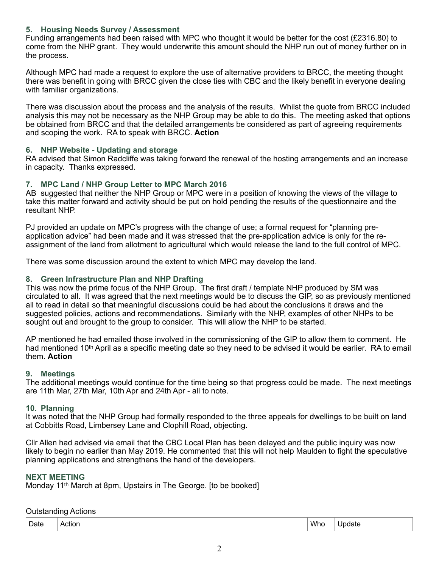# **5. Housing Needs Survey / Assessment**

Funding arrangements had been raised with MPC who thought it would be better for the cost (£2316.80) to come from the NHP grant. They would underwrite this amount should the NHP run out of money further on in the process.

Although MPC had made a request to explore the use of alternative providers to BRCC, the meeting thought there was benefit in going with BRCC given the close ties with CBC and the likely benefit in everyone dealing with familiar organizations.

There was discussion about the process and the analysis of the results. Whilst the quote from BRCC included analysis this may not be necessary as the NHP Group may be able to do this. The meeting asked that options be obtained from BRCC and that the detailed arrangements be considered as part of agreeing requirements and scoping the work. RA to speak with BRCC. **Action**

### **6. NHP Website - Updating and storage**

RA advised that Simon Radcliffe was taking forward the renewal of the hosting arrangements and an increase in capacity. Thanks expressed.

### **7. MPC Land / NHP Group Letter to MPC March 2016**

AB suggested that neither the NHP Group or MPC were in a position of knowing the views of the village to take this matter forward and activity should be put on hold pending the results of the questionnaire and the resultant NHP.

PJ provided an update on MPC's progress with the change of use; a formal request for "planning preapplication advice" had been made and it was stressed that the pre-application advice is only for the reassignment of the land from allotment to agricultural which would release the land to the full control of MPC.

There was some discussion around the extent to which MPC may develop the land.

### **8. Green Infrastructure Plan and NHP Drafting**

This was now the prime focus of the NHP Group. The first draft / template NHP produced by SM was circulated to all. It was agreed that the next meetings would be to discuss the GIP, so as previously mentioned all to read in detail so that meaningful discussions could be had about the conclusions it draws and the suggested policies, actions and recommendations. Similarly with the NHP, examples of other NHPs to be sought out and brought to the group to consider. This will allow the NHP to be started.

AP mentioned he had emailed those involved in the commissioning of the GIP to allow them to comment. He had mentioned 10<sup>th</sup> April as a specific meeting date so they need to be advised it would be earlier. RA to email them. **Action** 

### **9. Meetings**

The additional meetings would continue for the time being so that progress could be made. The next meetings are 11th Mar, 27th Mar, 10th Apr and 24th Apr - all to note.

### **10. Planning**

It was noted that the NHP Group had formally responded to the three appeals for dwellings to be built on land at Cobbitts Road, Limbersey Lane and Clophill Road, objecting.

Cllr Allen had advised via email that the CBC Local Plan has been delayed and the public inquiry was now likely to begin no earlier than May 2019. He commented that this will not help Maulden to fight the speculative planning applications and strengthens the hand of the developers.

### **NEXT MEETING**

Monday 11th March at 8pm, Upstairs in The George. [to be booked]

### Outstanding Actions

| Date | ---<br>tior<br>A<br>. | Who | ----<br>paate |
|------|-----------------------|-----|---------------|
|------|-----------------------|-----|---------------|